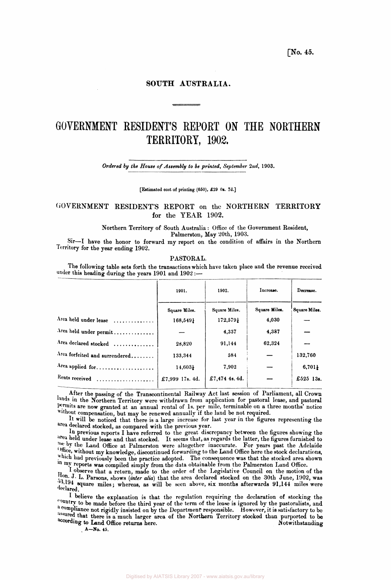**[No. 45.** 

# **SOUTH AUSTRALIA.**

# **GOVERNMENT RESIDENT'S REPORT ON THE NORTHERN TERRITORY, 1902.**

*Ordered by the House of Assembly to be printed, September 2nd,* 1903.

**[Estimated cost of printing (650), £29 0s. 7d.]** 

# GOVERNMENT RESIDENT'S REPORT on the NORTHERN TERRITORY for the YEAR 1902.

**Northern Territory of South Australia : Office of the Government Resident,** 

**Palmerston, May 20th, 1903.** 

**Sir—I have the honor to forward my report on the condition of affairs in the Northern Territory for the year ending 1902.** 

## **PASTORAL.**

**The following table sets forth the transactions which have taken place and the revenue received under this heading during the years 1901 and 1902 :—** 

|                                | 1901.           | 1902.          | Increase.     | Decrease.     |  |
|--------------------------------|-----------------|----------------|---------------|---------------|--|
|                                | Square Miles.   | Square Miles.  | Square Miles. | Square Miles. |  |
| Area held under lease          | 168,549}        | 172,5791       | 4,030         |               |  |
| Area held under permit         |                 | 4,337          | 4,337         |               |  |
| Area declared stocked          | 28,820          | 91,144         | 62,324        |               |  |
| Area forfeited and surrendered | 133,344         | 584            |               | 132,760       |  |
| Area applied for               | 14,603}         | 7,902          |               | $6,701\}$     |  |
| Rents received                 | £7,999 17s. 4d. | £7,474 4s. 4d. |               | £525 13s.     |  |
|                                |                 |                |               |               |  |

**After the passing of the Transcontinental Railway Act last session of Parliament, all Crown**  lands in the Northern Territory were withdrawn from application for pastoral lease, and pastoral **permits are now granted at an annual rental of Is. per mile, terminable on a three months' notice Without compensation, but may be renewed annually if the land be not required.** 

**It will be noticed that there is a large increase for last year in the figures representing the area declared stocked, as compared with the previous year.** 

**In previous reports I have referred to the great discrepancy between the figures showing the area held under lease and that stocked. It seems that, as regards the latter, the figures furnished to me by the Land Office at Palmerston were altogether inaccurate. For years past the Adelaide Office, without my knowledge, discontinued forwarding to the Land Office here the stock declarations, which had previously been the practice adopted. The consequence was that the stocked area shown In my reports was compiled simply from the data obtainable from the Palmerston Land Office.** 

**I observe that a return, made to the order of the Legislative Council on the motion of the Hon. J. L. Parsons, shows (***inter alia)* **that the area declared stocked on the 30th June, 1902, was**  53,194 square miles; whereas, as will be seen above, six months afterwards 91,144 miles were **declared.** 

**1 believe the explanation is that the regulation requiring the declaration of stocking the country to be made before the third year of the term of the lease is ignored by the pastoralists, and a compliance not rigidly insisted on by the Department responsible. However, it is satisfactory to be**  assured that there is a much larger area of the Northern Territory stocked than purported to be according to Land Office returns here. according to Land Office returns here.

**A—No. 45.**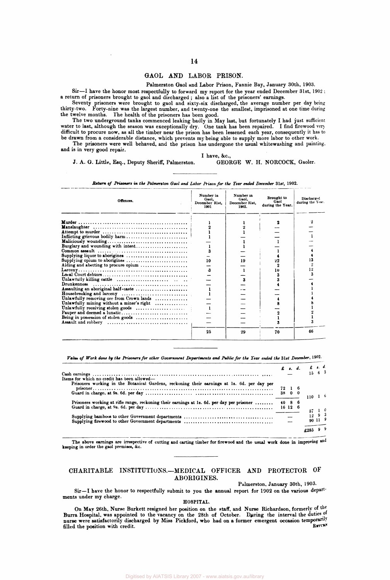## **GAOL AND LABOR PRISON.**

**Palmerston Gaol and Labor Prison, Fannie Bay, January 30th, 1903.** 

**Sir—I have the honor most respectfully to forward my report for the year ended December 31st, 1902 : a return of prisoners brought to gaol and discharged ; also a list of the prisoners' earnings.** 

**Seventy prisoners were brought to gaol and sixty-six discharged, the average number per day being thirty-two. Forty-nine was the largest number, and twenty-one the smallest, imprisoned at one time during the twelve months. The health of the prisoners has been good.** 

**The two underground tanks commenced leaking badly in May last, but fortunately I had just sufficient water to last, although the season was exceptionally dry. One tank has been repaired. I find firewood very difficult to procure now, as all the timber near the prison has been lessened each year, consequently it has to be drawn from a considerable distance, which prevents my being able to supply more labor to other work.** 

The prisoners were well behaved, and the prison has undergone the usual whitewashing and painting. **and is in very good repair.** 

**J. A. G. Little, Esq., Deputy Sheriff, Palmerston. GEORGE W. H. NORCOCK, Gaoler.** 

**I have, &c ,** 

| Offences.                                                                                                        | Number in<br>Gaol.<br>December 31st.<br>1901 | Number in<br>Gaol.<br>December 31st.<br>1902. | Brought to<br>Gaol<br>during the Year. | <b>Discharged</b><br>during the Year. |
|------------------------------------------------------------------------------------------------------------------|----------------------------------------------|-----------------------------------------------|----------------------------------------|---------------------------------------|
|                                                                                                                  |                                              |                                               |                                        |                                       |
|                                                                                                                  |                                              |                                               |                                        |                                       |
|                                                                                                                  |                                              |                                               |                                        |                                       |
| Inflicting grievous bodily harm!                                                                                 |                                              |                                               |                                        |                                       |
|                                                                                                                  |                                              |                                               |                                        |                                       |
| Burglary and wounding with intent                                                                                |                                              |                                               |                                        |                                       |
|                                                                                                                  |                                              |                                               |                                        |                                       |
| Supplying liquor to aborigines                                                                                   |                                              |                                               |                                        |                                       |
| Supplying opium to aborigines                                                                                    | 10                                           | 19                                            |                                        |                                       |
| Aiding and abetting to procure opium                                                                             |                                              |                                               |                                        |                                       |
| $\text{Larceny} \dots \dots \dots \dots \dots \dots \dots \dots \dots \dots \dots \dots \dots \dots \dots \dots$ | $\boldsymbol{\mathbf{3}}$                    |                                               | 10                                     |                                       |
|                                                                                                                  |                                              |                                               |                                        |                                       |
|                                                                                                                  |                                              |                                               |                                        |                                       |
|                                                                                                                  |                                              |                                               |                                        |                                       |
| Assaulting an aboriginal half-caste                                                                              |                                              |                                               |                                        |                                       |
|                                                                                                                  |                                              |                                               |                                        |                                       |
| Unlawfully removing ore from Crown lands                                                                         |                                              |                                               |                                        |                                       |
| Unlawfully mining without a miner's right                                                                        |                                              |                                               |                                        |                                       |
|                                                                                                                  |                                              |                                               |                                        |                                       |
|                                                                                                                  |                                              |                                               |                                        |                                       |
|                                                                                                                  |                                              |                                               |                                        |                                       |
| Assault and robbery $\dots \dots \dots \dots \dots \dots \dots \dots \dots \dots$                                |                                              |                                               |                                        |                                       |
|                                                                                                                  | 25                                           | 29                                            | 70                                     | 66                                    |

*Return of Prisoners in the Palmerston Gaol and Labor Prison for the Year ended December* **31st, 1902.** 

*Value of Work done by the Prisoners for other Government Departments and Public for the Tear ended the* **31st** *December,* **1902.** 

|                                                                                                    |        |  | $E$ a. d. $E$ a. d.<br>$15 \quad 6 \quad 3$ |                 |
|----------------------------------------------------------------------------------------------------|--------|--|---------------------------------------------|-----------------|
|                                                                                                    |        |  |                                             |                 |
| Items for which no credit has been allowed—                                                        |        |  |                                             |                 |
| Prisoners working in the Botanical Gardens, reckoning their earnings at 1s. 6d. per day per        | 72 1 6 |  |                                             |                 |
|                                                                                                    |        |  | $110-1-6$                                   |                 |
| Prisoners working at rifle range, reckoning their earnings at 1s. 6d. per day per prisoner  40 8 6 |        |  |                                             |                 |
|                                                                                                    |        |  |                                             |                 |
|                                                                                                    |        |  | $57 - 1 = 0$<br>$\overline{12}$ 9 3         |                 |
|                                                                                                    |        |  |                                             | $90 \; 11 \; 9$ |
|                                                                                                    |        |  |                                             |                 |
|                                                                                                    |        |  |                                             |                 |

**The above earnings are irrespective of cutting and carting timber for firewood and the usual work done in improving and keeping in order the gaol premises, &c.** 

## **CHARITABLE INSTITUTIONS.—MEDICAL OFFICER AND PROTECTOR OF ABORIGINES.**

**Palmerston, January 30th, 1903.** 

**Sir—I have the honor to respectfully submit to you the annual report for 1902 on the various departments under my charge.** 

# **HOSPITAL.**

**On May 26th, Nurse Burkett resigned her position on the staff, and Nurse Richardson, formerly of the Burra Hospital, was appointed to the vacancy on the 28th of October. During the interval the duties of nurse were satisfactorily discharged by Miss Pickford, who had on a former emergent occasion temporarily**  filled the position with credit.  $R = \frac{1}{2}$